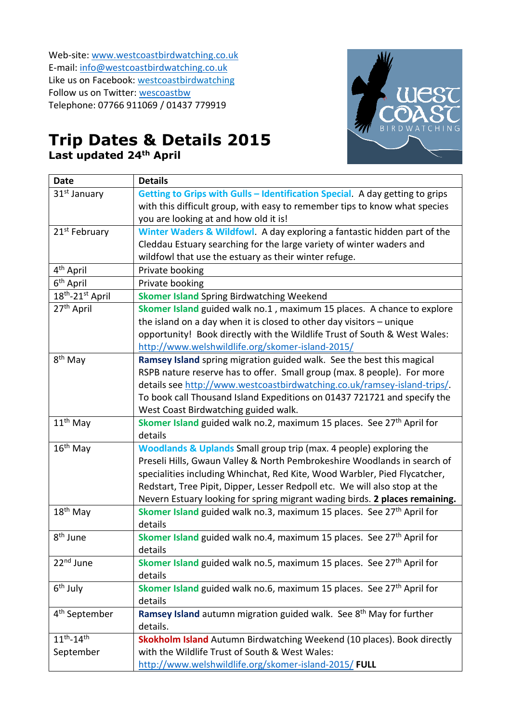Web-site[: www.westcoastbirdwatching.co.uk](http://www.westcoastbirdwatching.co.uk/) E-mail: [info@westcoastbirdwatching.co.uk](mailto:info@westcoastbirdwatching.co.uk) Like us on Facebook: [westcoastbirdwatching](https://www.facebook.com/westcoastbirdwatching) Follow us on Twitter: [wescoastbw](https://twitter.com/westcoastbw) Telephone: 07766 911069 / 01437 779919



## **Trip Dates & Details 2015 Last updated 24th April**

| <b>Date</b>                  | <b>Details</b>                                                                    |
|------------------------------|-----------------------------------------------------------------------------------|
| 31 <sup>st</sup> January     | Getting to Grips with Gulls - Identification Special. A day getting to grips      |
|                              | with this difficult group, with easy to remember tips to know what species        |
|                              | you are looking at and how old it is!                                             |
| 21 <sup>st</sup> February    | Winter Waders & Wildfowl. A day exploring a fantastic hidden part of the          |
|                              | Cleddau Estuary searching for the large variety of winter waders and              |
|                              | wildfowl that use the estuary as their winter refuge.                             |
| 4 <sup>th</sup> April        | Private booking                                                                   |
| $6th$ April                  | Private booking                                                                   |
| 18 <sup>th</sup> -21st April | <b>Skomer Island Spring Birdwatching Weekend</b>                                  |
| 27 <sup>th</sup> April       | Skomer Island guided walk no.1, maximum 15 places. A chance to explore            |
|                              | the island on a day when it is closed to other day visitors - unique              |
|                              | opportunity! Book directly with the Wildlife Trust of South & West Wales:         |
|                              | http://www.welshwildlife.org/skomer-island-2015/                                  |
| 8 <sup>th</sup> May          | Ramsey Island spring migration guided walk. See the best this magical             |
|                              | RSPB nature reserve has to offer. Small group (max. 8 people). For more           |
|                              | details see http://www.westcoastbirdwatching.co.uk/ramsey-island-trips/.          |
|                              | To book call Thousand Island Expeditions on 01437 721721 and specify the          |
|                              | West Coast Birdwatching guided walk.                                              |
| $11th$ May                   | Skomer Island guided walk no.2, maximum 15 places. See 27 <sup>th</sup> April for |
|                              | details                                                                           |
| $16th$ May                   | <b>Woodlands &amp; Uplands Small group trip (max. 4 people) exploring the</b>     |
|                              | Preseli Hills, Gwaun Valley & North Pembrokeshire Woodlands in search of          |
|                              | specialities including Whinchat, Red Kite, Wood Warbler, Pied Flycatcher,         |
|                              | Redstart, Tree Pipit, Dipper, Lesser Redpoll etc. We will also stop at the        |
|                              | Nevern Estuary looking for spring migrant wading birds. 2 places remaining.       |
| 18 <sup>th</sup> May         | Skomer Island guided walk no.3, maximum 15 places. See 27 <sup>th</sup> April for |
|                              | details                                                                           |
| 8 <sup>th</sup> June         | Skomer Island guided walk no.4, maximum 15 places. See 27 <sup>th</sup> April for |
|                              | details                                                                           |
| 22 <sup>nd</sup> June        | Skomer Island guided walk no.5, maximum 15 places. See 27 <sup>th</sup> April for |
|                              | details                                                                           |
| $6th$ July                   | Skomer Island guided walk no.6, maximum 15 places. See 27 <sup>th</sup> April for |
|                              | details                                                                           |
| 4 <sup>th</sup> September    | Ramsey Island autumn migration guided walk. See 8 <sup>th</sup> May for further   |
|                              | details.                                                                          |
| $11^{th} - 14^{th}$          | Skokholm Island Autumn Birdwatching Weekend (10 places). Book directly            |
| September                    | with the Wildlife Trust of South & West Wales:                                    |
|                              | http://www.welshwildlife.org/skomer-island-2015/ FULL                             |